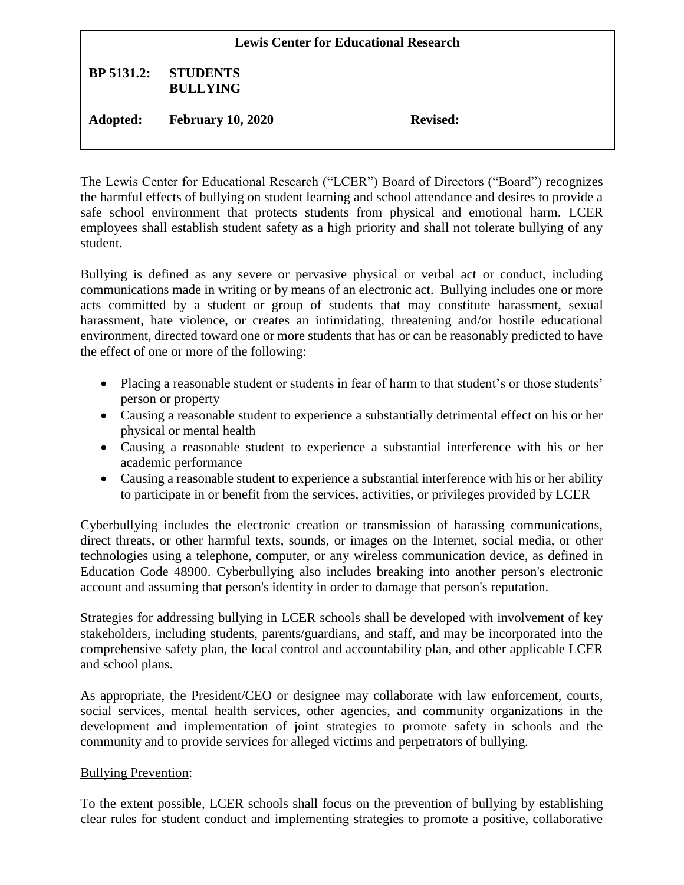| <b>Lewis Center for Educational Research</b> |                                    |                 |
|----------------------------------------------|------------------------------------|-----------------|
| <b>BP</b> 5131.2:                            | <b>STUDENTS</b><br><b>BULLYING</b> |                 |
| Adopted:                                     | <b>February 10, 2020</b>           | <b>Revised:</b> |

The Lewis Center for Educational Research ("LCER") Board of Directors ("Board") recognizes the harmful effects of bullying on student learning and school attendance and desires to provide a safe school environment that protects students from physical and emotional harm. LCER employees shall establish student safety as a high priority and shall not tolerate bullying of any student.

Bullying is defined as any severe or pervasive physical or verbal act or conduct, including communications made in writing or by means of an electronic act. Bullying includes one or more acts committed by a student or group of students that may constitute harassment, sexual harassment, hate violence, or creates an intimidating, threatening and/or hostile educational environment, directed toward one or more students that has or can be reasonably predicted to have the effect of one or more of the following:

- Placing a reasonable student or students in fear of harm to that student's or those students' person or property
- Causing a reasonable student to experience a substantially detrimental effect on his or her physical or mental health
- Causing a reasonable student to experience a substantial interference with his or her academic performance
- Causing a reasonable student to experience a substantial interference with his or her ability to participate in or benefit from the services, activities, or privileges provided by LCER

Cyberbullying includes the electronic creation or transmission of harassing communications, direct threats, or other harmful texts, sounds, or images on the Internet, social media, or other technologies using a telephone, computer, or any wireless communication device, as defined in Education Code [48900.](http://gamutonline.net/displayPolicy/137736/) Cyberbullying also includes breaking into another person's electronic account and assuming that person's identity in order to damage that person's reputation.

Strategies for addressing bullying in LCER schools shall be developed with involvement of key stakeholders, including students, parents/guardians, and staff, and may be incorporated into the comprehensive safety plan, the local control and accountability plan, and other applicable LCER and school plans.

As appropriate, the President/CEO or designee may collaborate with law enforcement, courts, social services, mental health services, other agencies, and community organizations in the development and implementation of joint strategies to promote safety in schools and the community and to provide services for alleged victims and perpetrators of bullying.

# Bullying Prevention:

To the extent possible, LCER schools shall focus on the prevention of bullying by establishing clear rules for student conduct and implementing strategies to promote a positive, collaborative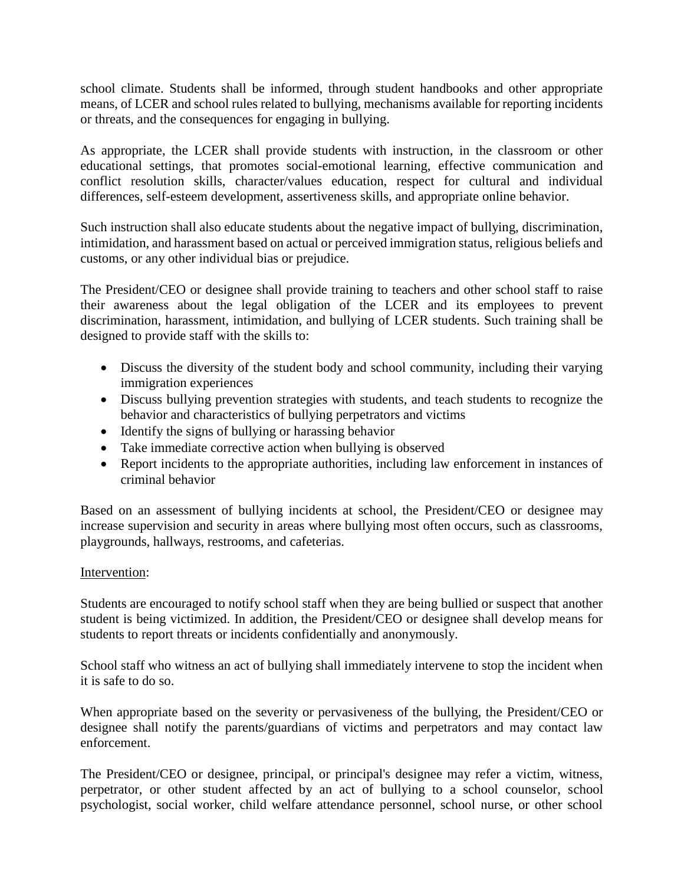school climate. Students shall be informed, through student handbooks and other appropriate means, of LCER and school rules related to bullying, mechanisms available for reporting incidents or threats, and the consequences for engaging in bullying.

As appropriate, the LCER shall provide students with instruction, in the classroom or other educational settings, that promotes social-emotional learning, effective communication and conflict resolution skills, character/values education, respect for cultural and individual differences, self-esteem development, assertiveness skills, and appropriate online behavior.

Such instruction shall also educate students about the negative impact of bullying, discrimination, intimidation, and harassment based on actual or perceived immigration status, religious beliefs and customs, or any other individual bias or prejudice.

The President/CEO or designee shall provide training to teachers and other school staff to raise their awareness about the legal obligation of the LCER and its employees to prevent discrimination, harassment, intimidation, and bullying of LCER students. Such training shall be designed to provide staff with the skills to:

- Discuss the diversity of the student body and school community, including their varying immigration experiences
- Discuss bullying prevention strategies with students, and teach students to recognize the behavior and characteristics of bullying perpetrators and victims
- Identify the signs of bullying or harassing behavior
- Take immediate corrective action when bullying is observed
- Report incidents to the appropriate authorities, including law enforcement in instances of criminal behavior

Based on an assessment of bullying incidents at school, the President/CEO or designee may increase supervision and security in areas where bullying most often occurs, such as classrooms, playgrounds, hallways, restrooms, and cafeterias.

## Intervention:

Students are encouraged to notify school staff when they are being bullied or suspect that another student is being victimized. In addition, the President/CEO or designee shall develop means for students to report threats or incidents confidentially and anonymously.

School staff who witness an act of bullying shall immediately intervene to stop the incident when it is safe to do so.

When appropriate based on the severity or pervasiveness of the bullying, the President/CEO or designee shall notify the parents/guardians of victims and perpetrators and may contact law enforcement.

The President/CEO or designee, principal, or principal's designee may refer a victim, witness, perpetrator, or other student affected by an act of bullying to a school counselor, school psychologist, social worker, child welfare attendance personnel, school nurse, or other school